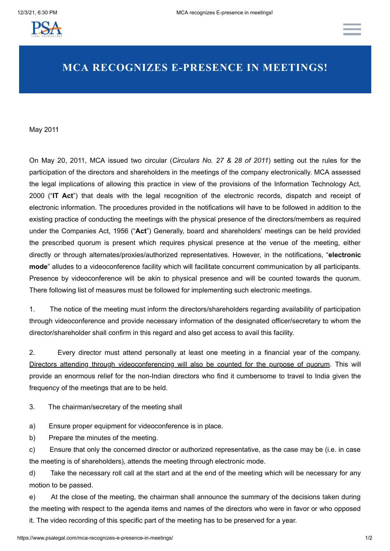

## **MCA RECOGNIZES E-PRESENCE IN MEETINGS!**

May 2011

On May 20, 2011, MCA issued two circular (*Circulars No. 27 & 28 of 2011*) setting out the rules for the participation of the directors and shareholders in the meetings of the company electronically. MCA assessed the legal implications of allowing this practice in view of the provisions of the Information Technology Act, 2000 ("**IT Act**") that deals with the legal recognition of the electronic records, dispatch and receipt of electronic information. The procedures provided in the notifications will have to be followed in addition to the existing practice of conducting the meetings with the physical presence of the directors/members as required under the Companies Act, 1956 ("**Act**") Generally, board and shareholders' meetings can be held provided the prescribed quorum is present which requires physical presence at the venue of the meeting, either directly or through alternates/proxies/authorized representatives. However, in the notifications, "**electronic mode**" alludes to a videoconference facility which will facilitate concurrent communication by all participants. Presence by videoconference will be akin to physical presence and will be counted towards the quorum. There following list of measures must be followed for implementing such electronic meetings.

1. The notice of the meeting must inform the directors/shareholders regarding availability of participation through videoconference and provide necessary information of the designated officer/secretary to whom the director/shareholder shall confirm in this regard and also get access to avail this facility.

2. Every director must attend personally at least one meeting in a financial year of the company. Directors attending through videoconferencing will also be counted for the purpose of quorum. This will provide an enormous relief for the non-Indian directors who find it cumbersome to travel to India given the frequency of the meetings that are to be held.

3. The chairman/secretary of the meeting shall

a) Ensure proper equipment for videoconference is in place.

b) Prepare the minutes of the meeting.

c) Ensure that only the concerned director or authorized representative, as the case may be (i.e. in case the meeting is of shareholders), attends the meeting through electronic mode.

d) Take the necessary roll call at the start and at the end of the meeting which will be necessary for any motion to be passed.

e) At the close of the meeting, the chairman shall announce the summary of the decisions taken during the meeting with respect to the agenda items and names of the directors who were in favor or who opposed it. The video recording of this specific part of the meeting has to be preserved for a year.